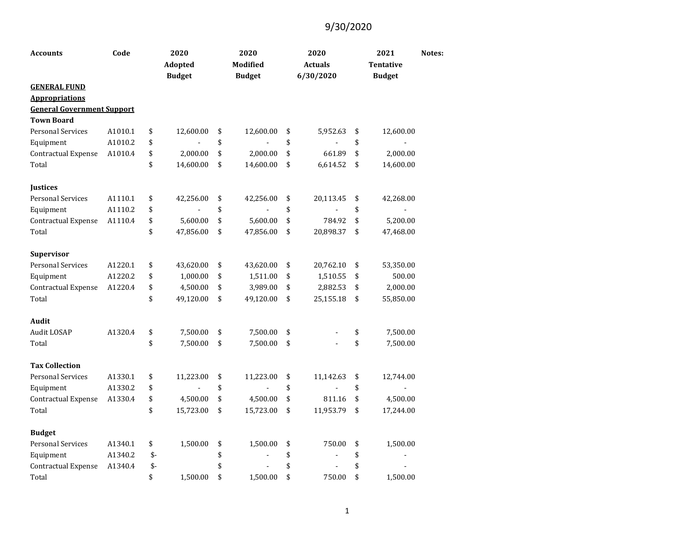| <b>Accounts</b>                   | Code    |      | 2020<br><b>Adopted</b><br><b>Budget</b> | 2020<br><b>Modified</b><br><b>Budget</b> | 2020<br><b>Actuals</b><br>6/30/2020 | 2021<br><b>Tentative</b><br><b>Budget</b> | Notes: |
|-----------------------------------|---------|------|-----------------------------------------|------------------------------------------|-------------------------------------|-------------------------------------------|--------|
| <b>GENERAL FUND</b>               |         |      |                                         |                                          |                                     |                                           |        |
| <b>Appropriations</b>             |         |      |                                         |                                          |                                     |                                           |        |
| <b>General Government Support</b> |         |      |                                         |                                          |                                     |                                           |        |
| <b>Town Board</b>                 |         |      |                                         |                                          |                                     |                                           |        |
| <b>Personal Services</b>          | A1010.1 | \$   | 12,600.00                               | \$<br>12,600.00                          | \$<br>5,952.63                      | \$<br>12,600.00                           |        |
| Equipment                         | A1010.2 | \$   |                                         | \$                                       | \$                                  | \$                                        |        |
| Contractual Expense               | A1010.4 | \$   | 2,000.00                                | \$<br>2,000.00                           | \$<br>661.89                        | \$<br>2,000.00                            |        |
| Total                             |         | \$   | 14,600.00                               | \$<br>14,600.00                          | \$<br>6,614.52                      | \$<br>14,600.00                           |        |
| <b>Justices</b>                   |         |      |                                         |                                          |                                     |                                           |        |
| <b>Personal Services</b>          | A1110.1 | \$   | 42,256.00                               | \$<br>42,256.00                          | \$<br>20,113.45                     | \$<br>42,268.00                           |        |
| Equipment                         | A1110.2 | \$   |                                         | \$                                       | \$                                  | \$                                        |        |
| Contractual Expense               | A1110.4 | \$   | 5,600.00                                | \$<br>5,600.00                           | \$<br>784.92                        | \$<br>5,200.00                            |        |
| Total                             |         | \$   | 47,856.00                               | \$<br>47,856.00                          | \$<br>20,898.37                     | \$<br>47,468.00                           |        |
| Supervisor                        |         |      |                                         |                                          |                                     |                                           |        |
| <b>Personal Services</b>          | A1220.1 | \$   | 43,620.00                               | \$<br>43,620.00                          | \$<br>20,762.10                     | \$<br>53,350.00                           |        |
| Equipment                         | A1220.2 | \$   | 1,000.00                                | \$<br>1,511.00                           | \$<br>1,510.55                      | \$<br>500.00                              |        |
| Contractual Expense               | A1220.4 | \$   | 4,500.00                                | \$<br>3,989.00                           | \$<br>2,882.53                      | \$<br>2,000.00                            |        |
| Total                             |         | \$   | 49,120.00                               | \$<br>49,120.00                          | \$<br>25,155.18                     | \$<br>55,850.00                           |        |
| Audit                             |         |      |                                         |                                          |                                     |                                           |        |
| Audit LOSAP                       | A1320.4 | \$   | 7,500.00                                | \$<br>7,500.00                           | \$                                  | \$<br>7,500.00                            |        |
| Total                             |         | \$   | 7,500.00                                | \$<br>7,500.00                           | \$                                  | \$<br>7,500.00                            |        |
| <b>Tax Collection</b>             |         |      |                                         |                                          |                                     |                                           |        |
| <b>Personal Services</b>          | A1330.1 | \$   | 11,223.00                               | \$<br>11,223.00                          | \$<br>11,142.63                     | \$<br>12,744.00                           |        |
| Equipment                         | A1330.2 | \$   |                                         | \$                                       | \$                                  | \$                                        |        |
| Contractual Expense               | A1330.4 | \$   | 4,500.00                                | \$<br>4,500.00                           | \$<br>811.16                        | \$<br>4,500.00                            |        |
| Total                             |         | \$   | 15,723.00                               | \$<br>15,723.00                          | \$<br>11,953.79                     | \$<br>17,244.00                           |        |
| <b>Budget</b>                     |         |      |                                         |                                          |                                     |                                           |        |
| <b>Personal Services</b>          | A1340.1 | \$   | 1,500.00                                | \$<br>1,500.00                           | \$<br>750.00                        | \$<br>1,500.00                            |        |
| Equipment                         | A1340.2 | $$-$ |                                         | \$                                       | \$                                  | \$                                        |        |
| <b>Contractual Expense</b>        | A1340.4 | $$-$ |                                         | \$                                       | \$                                  | \$                                        |        |
| Total                             |         | \$   | 1,500.00                                | \$<br>1,500.00                           | \$<br>750.00                        | \$<br>1,500.00                            |        |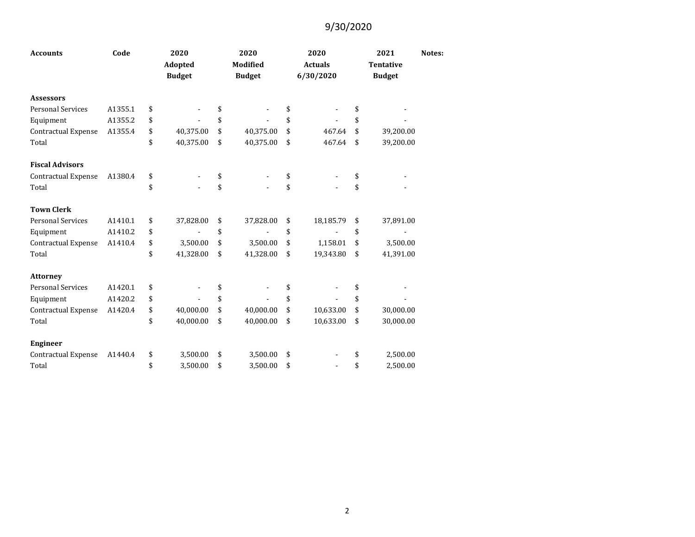| <b>Accounts</b>            | Code    | 2020<br>Adopted<br><b>Budget</b> | 2020<br><b>Modified</b><br><b>Budget</b> | 2020<br><b>Actuals</b><br>6/30/2020 | 2021<br><b>Tentative</b><br><b>Budget</b> | Notes: |
|----------------------------|---------|----------------------------------|------------------------------------------|-------------------------------------|-------------------------------------------|--------|
| <b>Assessors</b>           |         |                                  |                                          |                                     |                                           |        |
| <b>Personal Services</b>   | A1355.1 | \$                               | \$                                       | \$                                  | \$                                        |        |
| Equipment                  | A1355.2 | \$                               | \$                                       | \$                                  | \$                                        |        |
| <b>Contractual Expense</b> | A1355.4 | \$<br>40,375.00                  | \$<br>40,375.00                          | \$<br>467.64                        | \$<br>39,200.00                           |        |
| Total                      |         | \$<br>40,375.00                  | \$<br>40,375.00                          | \$<br>467.64                        | \$<br>39,200.00                           |        |
| <b>Fiscal Advisors</b>     |         |                                  |                                          |                                     |                                           |        |
| Contractual Expense        | A1380.4 | \$                               | \$                                       | \$                                  | \$                                        |        |
| Total                      |         | \$                               | \$                                       | \$                                  | \$                                        |        |
| <b>Town Clerk</b>          |         |                                  |                                          |                                     |                                           |        |
| <b>Personal Services</b>   | A1410.1 | \$<br>37,828.00                  | \$<br>37,828.00                          | \$<br>18,185.79                     | \$<br>37,891.00                           |        |
| Equipment                  | A1410.2 | \$                               | \$                                       | \$                                  | \$                                        |        |
| Contractual Expense        | A1410.4 | \$<br>3,500.00                   | \$<br>3,500.00                           | \$<br>1,158.01                      | \$<br>3,500.00                            |        |
| Total                      |         | \$<br>41,328.00                  | \$<br>41,328.00                          | \$<br>19,343.80                     | \$<br>41,391.00                           |        |
| <b>Attorney</b>            |         |                                  |                                          |                                     |                                           |        |
| <b>Personal Services</b>   | A1420.1 | \$                               | \$                                       | \$                                  | \$                                        |        |
| Equipment                  | A1420.2 | \$                               | \$                                       | \$                                  | \$                                        |        |
| Contractual Expense        | A1420.4 | \$<br>40,000.00                  | \$<br>40,000.00                          | \$<br>10,633.00                     | \$<br>30,000.00                           |        |
| Total                      |         | \$<br>40,000.00                  | \$<br>40,000.00                          | \$<br>10,633.00                     | \$<br>30,000.00                           |        |
| <b>Engineer</b>            |         |                                  |                                          |                                     |                                           |        |
| <b>Contractual Expense</b> | A1440.4 | \$<br>3,500.00                   | \$<br>3,500.00                           | \$                                  | \$<br>2,500.00                            |        |
| Total                      |         | \$<br>3,500.00                   | \$<br>3,500.00                           | \$                                  | \$<br>2,500.00                            |        |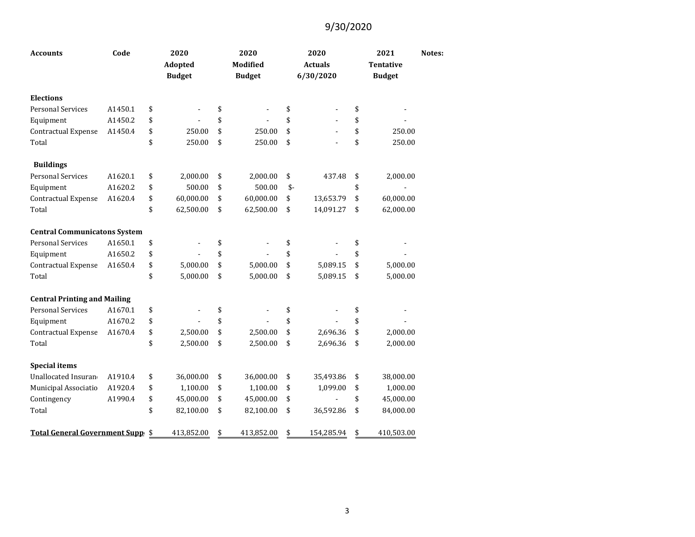| <b>Accounts</b>                     | Code    | 2020<br>Adopted<br><b>Budget</b> |            | 2020<br><b>Modified</b><br><b>Budget</b> | 2020<br><b>Actuals</b><br>6/30/2020 |            | 2021<br><b>Tentative</b><br><b>Budget</b> | Notes:     |  |
|-------------------------------------|---------|----------------------------------|------------|------------------------------------------|-------------------------------------|------------|-------------------------------------------|------------|--|
| <b>Elections</b>                    |         |                                  |            |                                          |                                     |            |                                           |            |  |
| <b>Personal Services</b>            | A1450.1 | \$                               |            | \$                                       | \$                                  |            | \$                                        |            |  |
| Equipment                           | A1450.2 | \$                               |            | \$                                       | \$                                  |            | \$                                        |            |  |
| <b>Contractual Expense</b>          | A1450.4 | \$                               | 250.00     | \$<br>250.00                             | \$                                  |            | \$                                        | 250.00     |  |
| Total                               |         | \$                               | 250.00     | \$<br>250.00                             | \$                                  |            | \$                                        | 250.00     |  |
| <b>Buildings</b>                    |         |                                  |            |                                          |                                     |            |                                           |            |  |
| <b>Personal Services</b>            | A1620.1 | \$                               | 2,000.00   | \$<br>2,000.00                           | \$                                  | 437.48     | \$                                        | 2,000.00   |  |
| Equipment                           | A1620.2 | \$                               | 500.00     | \$<br>500.00                             | $$-$                                |            | \$                                        |            |  |
| Contractual Expense                 | A1620.4 | \$                               | 60,000.00  | \$<br>60,000.00                          | \$                                  | 13,653.79  | \$                                        | 60,000.00  |  |
| Total                               |         | \$                               | 62,500.00  | \$<br>62,500.00                          | \$                                  | 14,091.27  | \$                                        | 62,000.00  |  |
| <b>Central Communicatons System</b> |         |                                  |            |                                          |                                     |            |                                           |            |  |
| <b>Personal Services</b>            | A1650.1 | \$                               |            | \$                                       | \$                                  |            | \$                                        |            |  |
| Equipment                           | A1650.2 | \$                               |            | \$                                       | \$                                  |            | \$                                        |            |  |
| Contractual Expense                 | A1650.4 | \$                               | 5,000.00   | \$<br>5,000.00                           | \$                                  | 5,089.15   | \$                                        | 5,000.00   |  |
| Total                               |         | \$                               | 5,000.00   | \$<br>5,000.00                           | \$                                  | 5,089.15   | \$                                        | 5,000.00   |  |
| <b>Central Printing and Mailing</b> |         |                                  |            |                                          |                                     |            |                                           |            |  |
| <b>Personal Services</b>            | A1670.1 | \$                               |            | \$                                       | \$                                  |            | \$                                        |            |  |
| Equipment                           | A1670.2 | \$                               |            | \$                                       | \$                                  |            | \$                                        |            |  |
| Contractual Expense                 | A1670.4 | \$                               | 2,500.00   | \$<br>2,500.00                           | \$                                  | 2,696.36   | \$                                        | 2,000.00   |  |
| Total                               |         | \$                               | 2,500.00   | \$<br>2,500.00                           | \$                                  | 2,696.36   | \$                                        | 2,000.00   |  |
| <b>Special items</b>                |         |                                  |            |                                          |                                     |            |                                           |            |  |
| Unallocated Insuran                 | A1910.4 | \$                               | 36,000.00  | \$<br>36,000.00                          | \$                                  | 35,493.86  | \$                                        | 38,000.00  |  |
| Municipal Associatio                | A1920.4 | \$                               | 1,100.00   | \$<br>1,100.00                           | \$                                  | 1,099.00   | \$                                        | 1,000.00   |  |
| Contingency                         | A1990.4 | \$                               | 45,000.00  | \$<br>45,000.00                          | \$                                  |            | \$                                        | 45,000.00  |  |
| Total                               |         | \$                               | 82,100.00  | \$<br>82,100.00                          | \$                                  | 36,592.86  | \$                                        | 84,000.00  |  |
| Total General Government Supp \$    |         |                                  | 413,852.00 | \$<br>413,852.00                         | \$                                  | 154,285.94 | \$                                        | 410,503.00 |  |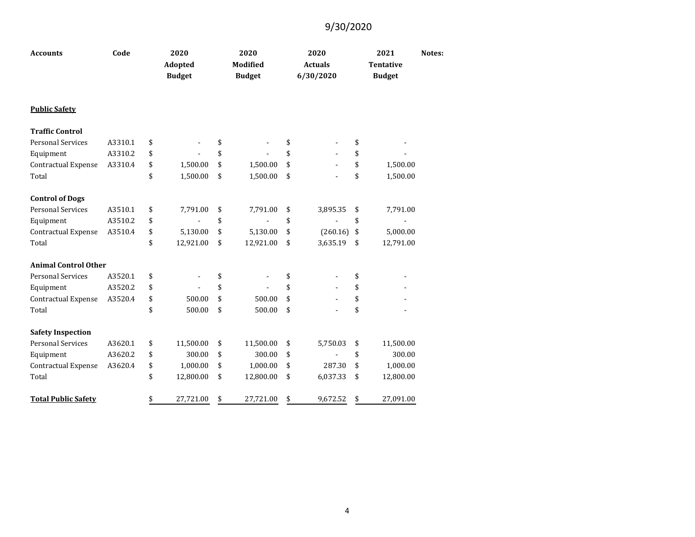| <b>Accounts</b>             | Code    | 2020<br><b>Adopted</b><br><b>Budget</b> | 2020<br><b>Modified</b><br><b>Budget</b> | 2020<br><b>Actuals</b><br>6/30/2020 | 2021<br><b>Tentative</b><br><b>Budget</b> | Notes: |
|-----------------------------|---------|-----------------------------------------|------------------------------------------|-------------------------------------|-------------------------------------------|--------|
| <b>Public Safety</b>        |         |                                         |                                          |                                     |                                           |        |
| <b>Traffic Control</b>      |         |                                         |                                          |                                     |                                           |        |
| <b>Personal Services</b>    | A3310.1 | \$                                      | \$                                       | \$                                  | \$                                        |        |
| Equipment                   | A3310.2 | \$                                      | \$                                       | \$                                  | \$                                        |        |
| Contractual Expense         | A3310.4 | \$<br>1,500.00                          | \$<br>1,500.00                           | \$                                  | \$<br>1,500.00                            |        |
| Total                       |         | \$<br>1,500.00                          | \$<br>1,500.00                           | \$                                  | \$<br>1,500.00                            |        |
| <b>Control of Dogs</b>      |         |                                         |                                          |                                     |                                           |        |
| <b>Personal Services</b>    | A3510.1 | \$<br>7,791.00                          | \$<br>7,791.00                           | \$<br>3,895.35                      | \$<br>7,791.00                            |        |
| Equipment                   | A3510.2 | \$                                      | \$                                       | \$                                  | \$                                        |        |
| Contractual Expense         | A3510.4 | \$<br>5,130.00                          | \$<br>5,130.00                           | \$<br>(260.16)                      | \$<br>5,000.00                            |        |
| Total                       |         | \$<br>12,921.00                         | \$<br>12,921.00                          | \$<br>3,635.19                      | \$<br>12,791.00                           |        |
| <b>Animal Control Other</b> |         |                                         |                                          |                                     |                                           |        |
| <b>Personal Services</b>    | A3520.1 | \$                                      | \$                                       | \$                                  | \$                                        |        |
| Equipment                   | A3520.2 | \$                                      | \$                                       | \$                                  | \$                                        |        |
| Contractual Expense         | A3520.4 | \$<br>500.00                            | \$<br>500.00                             | \$                                  | \$                                        |        |
| Total                       |         | \$<br>500.00                            | \$<br>500.00                             | \$                                  | \$                                        |        |
| <b>Safety Inspection</b>    |         |                                         |                                          |                                     |                                           |        |
| <b>Personal Services</b>    | A3620.1 | \$<br>11,500.00                         | \$<br>11,500.00                          | \$<br>5,750.03                      | \$<br>11,500.00                           |        |
| Equipment                   | A3620.2 | \$<br>300.00                            | \$<br>300.00                             | \$                                  | \$<br>300.00                              |        |
| Contractual Expense         | A3620.4 | \$<br>1,000.00                          | \$<br>1,000.00                           | \$<br>287.30                        | \$<br>1,000.00                            |        |
| Total                       |         | \$<br>12,800.00                         | \$<br>12,800.00                          | \$<br>6,037.33                      | \$<br>12,800.00                           |        |
| <b>Total Public Safety</b>  |         | \$<br>27,721.00                         | \$<br>27,721.00                          | \$<br>9,672.52                      | \$<br>27,091.00                           |        |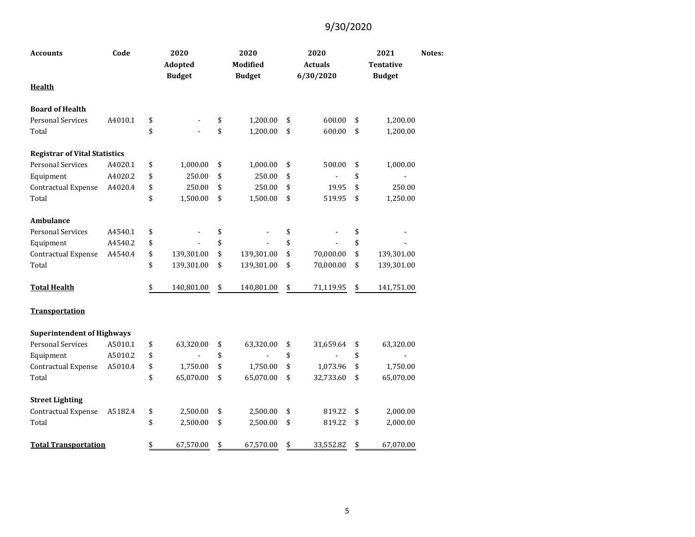| <b>Accounts</b>                      | Code    | 2020<br>Adopted<br><b>Budget</b> | 2020<br><b>Modified</b><br><b>Budget</b> | 2020<br><b>Actuals</b><br>6/30/2020 | 2021<br><b>Tentative</b><br><b>Budget</b> | Notes: |
|--------------------------------------|---------|----------------------------------|------------------------------------------|-------------------------------------|-------------------------------------------|--------|
| <b>Health</b>                        |         |                                  |                                          |                                     |                                           |        |
| <b>Board of Health</b>               |         |                                  |                                          |                                     |                                           |        |
| <b>Personal Services</b>             | A4010.1 | \$                               | \$<br>1,200.00                           | \$<br>600.00                        | \$<br>1,200.00                            |        |
| Total                                |         | \$                               | \$<br>1,200.00                           | \$<br>600.00                        | \$<br>1,200.00                            |        |
| <b>Registrar of Vital Statistics</b> |         |                                  |                                          |                                     |                                           |        |
| <b>Personal Services</b>             | A4020.1 | \$<br>1,000.00                   | \$<br>1,000.00                           | \$<br>500.00                        | \$<br>1,000.00                            |        |
| Equipment                            | A4020.2 | \$<br>250.00                     | \$<br>250.00                             | \$                                  | \$                                        |        |
| Contractual Expense                  | A4020.4 | \$<br>250.00                     | \$<br>250.00                             | \$<br>19.95                         | \$<br>250.00                              |        |
| Total                                |         | \$<br>1,500.00                   | \$<br>1,500.00                           | \$<br>519.95                        | \$<br>1,250.00                            |        |
| Ambulance                            |         |                                  |                                          |                                     |                                           |        |
| <b>Personal Services</b>             | A4540.1 | \$                               | \$                                       | \$                                  | \$                                        |        |
| Equipment                            | A4540.2 | \$                               | \$                                       | \$                                  | \$                                        |        |
| Contractual Expense                  | A4540.4 | \$<br>139,301.00                 | \$<br>139,301.00                         | \$<br>70,000.00                     | \$<br>139,301.00                          |        |
| Total                                |         | \$<br>139,301.00                 | \$<br>139,301.00                         | \$<br>70,000.00                     | \$<br>139,301.00                          |        |
| <b>Total Health</b>                  |         | \$<br>140,801.00                 | \$<br>140,801.00                         | \$<br>71,119.95                     | \$<br>141,751.00                          |        |
| <b>Transportation</b>                |         |                                  |                                          |                                     |                                           |        |
| <b>Superintendent of Highways</b>    |         |                                  |                                          |                                     |                                           |        |
| <b>Personal Services</b>             | A5010.1 | \$<br>63,320.00                  | \$<br>63,320.00                          | \$<br>31,659.64                     | \$<br>63,320.00                           |        |
| Equipment                            | A5010.2 | \$                               | \$                                       | \$                                  | \$                                        |        |
| Contractual Expense                  | A5010.4 | \$<br>1,750.00                   | \$<br>1,750.00                           | \$<br>1,073.96                      | \$<br>1,750.00                            |        |
| Total                                |         | \$<br>65,070.00                  | \$<br>65,070.00                          | \$<br>32,733.60                     | \$<br>65,070.00                           |        |
| <b>Street Lighting</b>               |         |                                  |                                          |                                     |                                           |        |
| Contractual Expense                  | A5182.4 | \$<br>2,500.00                   | \$<br>2,500.00                           | \$<br>819.22                        | \$<br>2,000.00                            |        |
| Total                                |         | \$<br>2,500.00                   | \$<br>2,500.00                           | \$<br>819.22                        | \$<br>2,000.00                            |        |
| <b>Total Transportation</b>          |         | \$<br>67,570.00                  | \$<br>67,570.00                          | \$<br>33,552.82                     | \$<br>67,070.00                           |        |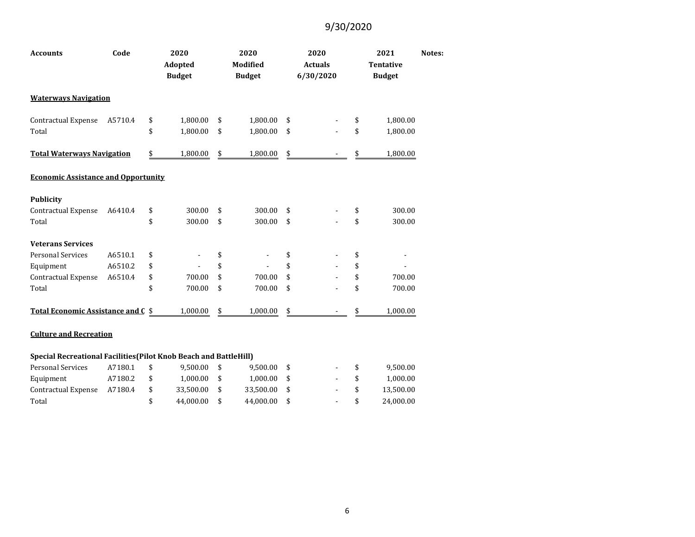| <b>Accounts</b>                            | Code    | 2020<br>Adopted<br><b>Budget</b> |               | 2020<br><b>Modified</b><br><b>Budget</b> | 2020<br><b>Actuals</b><br>6/30/2020 | 2021<br><b>Tentative</b><br><b>Budget</b> | Notes: |
|--------------------------------------------|---------|----------------------------------|---------------|------------------------------------------|-------------------------------------|-------------------------------------------|--------|
| <b>Waterways Navigation</b>                |         |                                  |               |                                          |                                     |                                           |        |
| Contractual Expense                        | A5710.4 | \$<br>1,800.00                   | \$            | 1,800.00                                 | \$                                  | \$<br>1,800.00                            |        |
| Total                                      |         | \$<br>1,800.00                   | \$            | 1,800.00                                 | \$                                  | \$<br>1,800.00                            |        |
| <b>Total Waterways Navigation</b>          |         | \$<br>1,800.00                   | $\frac{1}{2}$ | 1,800.00                                 | \$                                  | 1,800.00                                  |        |
| <b>Economic Assistance and Opportunity</b> |         |                                  |               |                                          |                                     |                                           |        |
| <b>Publicity</b>                           |         |                                  |               |                                          |                                     |                                           |        |
| Contractual Expense                        | A6410.4 | \$<br>300.00                     | \$            | 300.00                                   | \$                                  | \$<br>300.00                              |        |
| Total                                      |         | \$<br>300.00                     | \$            | 300.00                                   | \$                                  | \$<br>300.00                              |        |
| <b>Veterans Services</b>                   |         |                                  |               |                                          |                                     |                                           |        |
| <b>Personal Services</b>                   | A6510.1 | \$                               | \$            |                                          | \$                                  | \$                                        |        |
| Equipment                                  | A6510.2 | \$                               | \$            |                                          | \$                                  | \$                                        |        |
| Contractual Expense                        | A6510.4 | \$<br>700.00                     | \$            | 700.00                                   | \$                                  | \$<br>700.00                              |        |
| Total                                      |         | \$<br>700.00                     | \$            | 700.00                                   | \$                                  | \$<br>700.00                              |        |
| Total Economic Assistance and C \$         |         | 1,000.00                         | \$            | 1,000.00                                 | \$                                  | \$<br>1,000.00                            |        |
|                                            |         |                                  |               |                                          |                                     |                                           |        |

#### **Culture and Recreation**

| <b>Special Recreational Facilities (Pilot Knob Beach and BattleHill)</b> |         |    |           |           |      |        |           |
|--------------------------------------------------------------------------|---------|----|-----------|-----------|------|--------|-----------|
| Personal Services                                                        | A7180.1 |    | 9.500.00  | 9.500.00  | - \$ | $\sim$ | 9.500.00  |
| Equipment                                                                | A7180.2 | £. | 1.000.00  | 1.000.00  | S S  | $\sim$ | 1.000.00  |
| Contractual Expense                                                      | A7180.4 |    | 33.500.00 | 33.500.00 | - \$ | $\sim$ | 13.500.00 |
| Total                                                                    |         |    | 44.000.00 | 44.000.00 |      | $\sim$ | 24,000,00 |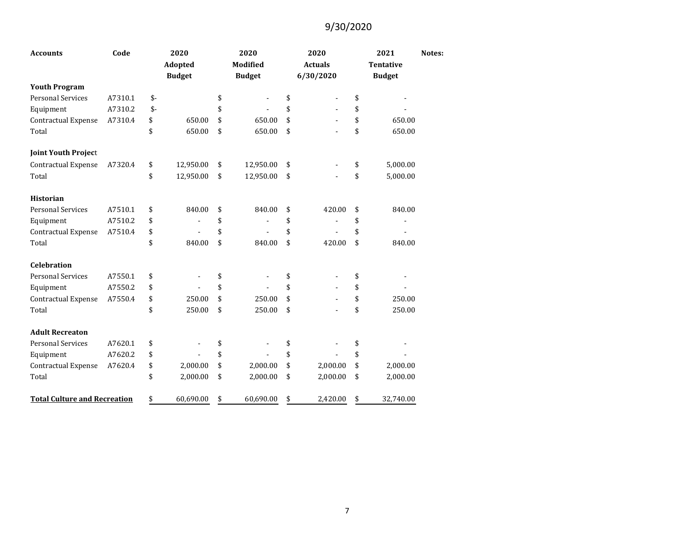| <b>Accounts</b>                     | Code    |      | 2020<br><b>Adopted</b><br><b>Budget</b> | 2020<br><b>Modified</b><br><b>Budget</b> | 2020<br><b>Actuals</b><br>6/30/2020 | 2021<br><b>Tentative</b><br><b>Budget</b> | Notes: |
|-------------------------------------|---------|------|-----------------------------------------|------------------------------------------|-------------------------------------|-------------------------------------------|--------|
| <b>Youth Program</b>                |         |      |                                         |                                          |                                     |                                           |        |
| <b>Personal Services</b>            | A7310.1 | $$-$ |                                         | \$                                       | \$                                  | \$                                        |        |
| Equipment                           | A7310.2 | $$-$ |                                         | \$                                       | \$                                  | \$                                        |        |
| Contractual Expense                 | A7310.4 | \$   | 650.00                                  | \$<br>650.00                             | \$                                  | \$<br>650.00                              |        |
| Total                               |         | \$   | 650.00                                  | \$<br>650.00                             | \$                                  | \$<br>650.00                              |        |
| <b>Joint Youth Project</b>          |         |      |                                         |                                          |                                     |                                           |        |
| Contractual Expense                 | A7320.4 | \$   | 12,950.00                               | \$<br>12,950.00                          | \$                                  | \$<br>5,000.00                            |        |
| Total                               |         | \$   | 12,950.00                               | \$<br>12,950.00                          | \$                                  | \$<br>5,000.00                            |        |
| <b>Historian</b>                    |         |      |                                         |                                          |                                     |                                           |        |
| <b>Personal Services</b>            | A7510.1 | \$   | 840.00                                  | \$<br>840.00                             | \$<br>420.00                        | \$<br>840.00                              |        |
| Equipment                           | A7510.2 | \$   |                                         | \$                                       | \$                                  | \$                                        |        |
| Contractual Expense                 | A7510.4 | \$   |                                         | \$                                       | \$                                  | \$                                        |        |
| Total                               |         | \$   | 840.00                                  | \$<br>840.00                             | \$<br>420.00                        | \$<br>840.00                              |        |
| <b>Celebration</b>                  |         |      |                                         |                                          |                                     |                                           |        |
| <b>Personal Services</b>            | A7550.1 | \$   |                                         | \$                                       | \$                                  | \$                                        |        |
| Equipment                           | A7550.2 | \$   |                                         | \$                                       | \$                                  | \$                                        |        |
| Contractual Expense                 | A7550.4 | \$   | 250.00                                  | \$<br>250.00                             | \$                                  | \$<br>250.00                              |        |
| Total                               |         | \$   | 250.00                                  | \$<br>250.00                             | \$                                  | \$<br>250.00                              |        |
| <b>Adult Recreaton</b>              |         |      |                                         |                                          |                                     |                                           |        |
| <b>Personal Services</b>            | A7620.1 | \$   |                                         | \$                                       | \$                                  | \$                                        |        |
| Equipment                           | A7620.2 | \$   |                                         | \$                                       | \$                                  | \$                                        |        |
| Contractual Expense                 | A7620.4 | \$   | 2,000.00                                | \$<br>2,000.00                           | \$<br>2,000.00                      | \$<br>2,000.00                            |        |
| Total                               |         | \$   | 2,000.00                                | \$<br>2,000.00                           | \$<br>2,000.00                      | \$<br>2,000.00                            |        |
| <b>Total Culture and Recreation</b> |         | \$   | 60,690.00                               | \$<br>60,690.00                          | \$<br>2,420.00                      | \$<br>32,740.00                           |        |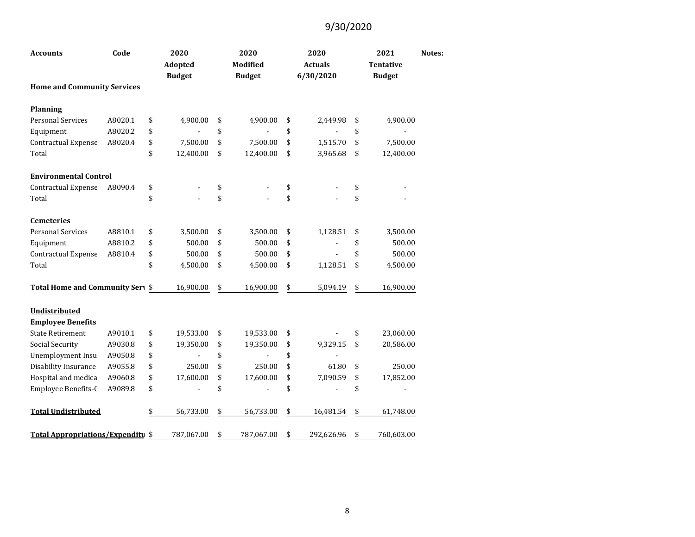| <b>Accounts</b>                    | Code    | 2020<br><b>Adopted</b><br><b>Budget</b> | 2020<br><b>Modified</b><br><b>Budget</b> | 2020<br><b>Actuals</b><br>6/30/2020 | 2021<br><b>Tentative</b><br><b>Budget</b> | Notes: |
|------------------------------------|---------|-----------------------------------------|------------------------------------------|-------------------------------------|-------------------------------------------|--------|
| <b>Home and Community Services</b> |         |                                         |                                          |                                     |                                           |        |
| <b>Planning</b>                    |         |                                         |                                          |                                     |                                           |        |
| <b>Personal Services</b>           | A8020.1 | \$<br>4,900.00                          | \$<br>4,900.00                           | \$<br>2,449.98                      | \$<br>4,900.00                            |        |
| Equipment                          | A8020.2 | \$                                      | \$                                       | \$                                  | \$                                        |        |
| <b>Contractual Expense</b>         | A8020.4 | \$<br>7,500.00                          | \$<br>7,500.00                           | \$<br>1,515.70                      | \$<br>7,500.00                            |        |
| Total                              |         | \$<br>12,400.00                         | \$<br>12,400.00                          | \$<br>3,965.68                      | \$<br>12,400.00                           |        |
| <b>Environmental Control</b>       |         |                                         |                                          |                                     |                                           |        |
| Contractual Expense                | A8090.4 | \$                                      | \$                                       | \$                                  | \$                                        |        |
| Total                              |         | \$                                      | \$                                       | \$                                  | \$                                        |        |
| <b>Cemeteries</b>                  |         |                                         |                                          |                                     |                                           |        |
| <b>Personal Services</b>           | A8810.1 | \$<br>3,500.00                          | \$<br>3,500.00                           | \$<br>1,128.51                      | \$<br>3,500.00                            |        |
| Equipment                          | A8810.2 | \$<br>500.00                            | \$<br>500.00                             | \$                                  | \$<br>500.00                              |        |
| Contractual Expense                | A8810.4 | \$<br>500.00                            | \$<br>500.00                             | \$                                  | \$<br>500.00                              |        |
| Total                              |         | \$<br>4,500.00                          | \$<br>4,500.00                           | \$<br>1,128.51                      | \$<br>4,500.00                            |        |
| Total Home and Community Serv \$   |         | 16,900.00                               | \$<br>16,900.00                          | \$<br>5,094.19                      | \$<br>16,900.00                           |        |
| <b>Undistributed</b>               |         |                                         |                                          |                                     |                                           |        |
| <b>Employee Benefits</b>           |         |                                         |                                          |                                     |                                           |        |
| <b>State Retirement</b>            | A9010.1 | \$<br>19,533.00                         | \$<br>19,533.00                          | \$                                  | \$<br>23,060.00                           |        |
| Social Security                    | A9030.8 | \$<br>19,350.00                         | \$<br>19,350.00                          | \$<br>9,329.15                      | \$<br>20,586.00                           |        |
| <b>Unemployment Insu</b>           | A9050.8 | \$                                      | \$                                       | \$                                  |                                           |        |
| Disability Insurance               | A9055.8 | \$<br>250.00                            | \$<br>250.00                             | \$<br>61.80                         | \$<br>250.00                              |        |
| Hospital and medica                | A9060.8 | \$<br>17,600.00                         | \$<br>17,600.00                          | \$<br>7,090.59                      | \$<br>17,852.00                           |        |
| Employee Benefits-C                | A9089.8 | \$                                      | \$                                       | \$                                  | \$                                        |        |
| <b>Total Undistributed</b>         |         | \$<br>56,733.00                         | \$<br>56,733.00                          | \$<br>16,481.54                     | \$<br>61,748.00                           |        |
| Total Appropriations/Expenditu \$  |         | 787,067.00                              | \$<br>787,067.00                         | \$<br>292,626.96                    | \$<br>760,603.00                          |        |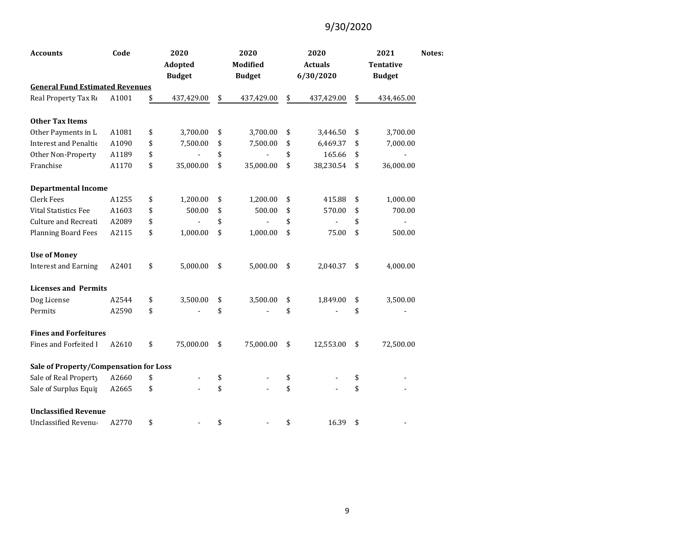| <b>Accounts</b>                        | Code  | 2020<br>Adopted<br><b>Budget</b> | 2020<br>Modified<br><b>Budget</b> | 2020<br><b>Actuals</b><br>6/30/2020 | 2021<br><b>Tentative</b><br><b>Budget</b> | Notes: |
|----------------------------------------|-------|----------------------------------|-----------------------------------|-------------------------------------|-------------------------------------------|--------|
| <b>General Fund Estimated Revenues</b> |       |                                  |                                   |                                     |                                           |        |
| Real Property Tax Re                   | A1001 | \$<br>437,429.00                 | \$<br>437,429.00                  | \$<br>437,429.00                    | \$<br>434,465.00                          |        |
| <b>Other Tax Items</b>                 |       |                                  |                                   |                                     |                                           |        |
| Other Payments in L                    | A1081 | \$<br>3,700.00                   | \$<br>3,700.00                    | \$<br>3,446.50                      | \$<br>3,700.00                            |        |
| <b>Interest and Penaltic</b>           | A1090 | \$<br>7,500.00                   | \$<br>7,500.00                    | \$<br>6,469.37                      | \$<br>7,000.00                            |        |
| Other Non-Property                     | A1189 | \$                               | \$                                | \$<br>165.66                        | \$                                        |        |
| Franchise                              | A1170 | \$<br>35,000.00                  | \$<br>35,000.00                   | \$<br>38,230.54                     | \$<br>36,000.00                           |        |
| <b>Departmental Income</b>             |       |                                  |                                   |                                     |                                           |        |
| Clerk Fees                             | A1255 | \$<br>1,200.00                   | \$<br>1,200.00                    | \$<br>415.88                        | \$<br>1,000.00                            |        |
| <b>Vital Statistics Fee</b>            | A1603 | \$<br>500.00                     | \$<br>500.00                      | \$<br>570.00                        | \$<br>700.00                              |        |
| <b>Culture and Recreati</b>            | A2089 | \$                               | \$                                | \$                                  | \$                                        |        |
| <b>Planning Board Fees</b>             | A2115 | \$<br>1,000.00                   | \$<br>1,000.00                    | \$<br>75.00                         | \$<br>500.00                              |        |
| <b>Use of Money</b>                    |       |                                  |                                   |                                     |                                           |        |
| <b>Interest and Earning</b>            | A2401 | \$<br>5,000.00                   | \$<br>5,000.00                    | \$<br>2,040.37                      | \$<br>4,000.00                            |        |
| <b>Licenses and Permits</b>            |       |                                  |                                   |                                     |                                           |        |
| Dog License                            | A2544 | \$<br>3,500.00                   | \$<br>3,500.00                    | \$<br>1,849.00                      | \$<br>3,500.00                            |        |
| Permits                                | A2590 | \$                               | \$                                | \$                                  | \$                                        |        |
| <b>Fines and Forfeitures</b>           |       |                                  |                                   |                                     |                                           |        |
| <b>Fines and Forfeited I</b>           | A2610 | \$<br>75,000.00                  | \$<br>75,000.00                   | \$<br>12,553.00                     | \$<br>72,500.00                           |        |
| Sale of Property/Compensation for Loss |       |                                  |                                   |                                     |                                           |        |
| Sale of Real Property                  | A2660 | \$                               | \$                                | \$                                  | \$                                        |        |
| Sale of Surplus Equip                  | A2665 | \$                               | \$                                | \$                                  | \$                                        |        |
| <b>Unclassified Revenue</b>            |       |                                  |                                   |                                     |                                           |        |
| <b>Unclassified Revenue</b>            | A2770 | \$                               | \$                                | \$<br>16.39                         | \$                                        |        |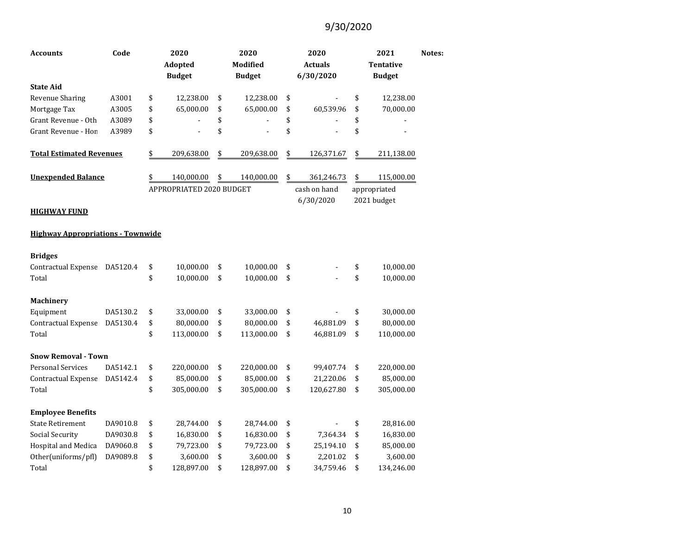| <b>Accounts</b>                          | Code     | 2020<br><b>Adopted</b><br><b>Budget</b> | 2020<br>Modified<br><b>Budget</b> | 2020<br><b>Actuals</b><br>6/30/2020 | 2021<br><b>Tentative</b><br><b>Budget</b> | Notes: |
|------------------------------------------|----------|-----------------------------------------|-----------------------------------|-------------------------------------|-------------------------------------------|--------|
| <b>State Aid</b>                         |          |                                         |                                   |                                     |                                           |        |
| Revenue Sharing                          | A3001    | \$<br>12,238.00                         | \$<br>12,238.00                   | \$                                  | \$<br>12,238.00                           |        |
| Mortgage Tax                             | A3005    | \$<br>65,000.00                         | \$<br>65,000.00                   | \$<br>60,539.96                     | \$<br>70,000.00                           |        |
| Grant Revenue - Oth                      | A3089    | \$                                      | \$                                | \$                                  | \$                                        |        |
| Grant Revenue - Hon                      | A3989    | \$                                      | \$                                | \$                                  | \$                                        |        |
| <b>Total Estimated Revenues</b>          |          | \$<br>209,638.00                        | \$<br>209,638.00                  | \$<br>126,371.67                    | \$<br>211,138.00                          |        |
| <b>Unexpended Balance</b>                |          | \$<br>140,000.00                        | \$<br>140,000.00                  | \$<br>361,246.73                    | \$<br>115,000.00                          |        |
|                                          |          | APPROPRIATED 2020 BUDGET                |                                   | cash on hand                        | appropriated                              |        |
| <b>HIGHWAY FUND</b>                      |          |                                         |                                   | 6/30/2020                           | 2021 budget                               |        |
| <b>Highway Appropriations - Townwide</b> |          |                                         |                                   |                                     |                                           |        |
| <b>Bridges</b>                           |          |                                         |                                   |                                     |                                           |        |
| Contractual Expense                      | DA5120.4 | \$<br>10,000.00                         | \$<br>10,000.00                   | \$                                  | \$<br>10,000.00                           |        |
| Total                                    |          | \$<br>10,000.00                         | \$<br>10,000.00                   | \$                                  | \$<br>10,000.00                           |        |
| Machinery                                |          |                                         |                                   |                                     |                                           |        |
| Equipment                                | DA5130.2 | \$<br>33,000.00                         | \$<br>33,000.00                   | \$                                  | \$<br>30,000.00                           |        |
| Contractual Expense                      | DA5130.4 | \$<br>80,000.00                         | \$<br>80,000.00                   | \$<br>46,881.09                     | \$<br>80,000.00                           |        |
| Total                                    |          | \$<br>113,000.00                        | \$<br>113,000.00                  | \$<br>46,881.09                     | \$<br>110,000.00                          |        |
| <b>Snow Removal - Town</b>               |          |                                         |                                   |                                     |                                           |        |
| <b>Personal Services</b>                 | DA5142.1 | \$<br>220,000.00                        | \$<br>220,000.00                  | \$<br>99,407.74                     | \$<br>220,000.00                          |        |
| Contractual Expense                      | DA5142.4 | \$<br>85,000.00                         | \$<br>85,000.00                   | \$<br>21,220.06                     | \$<br>85,000.00                           |        |
| Total                                    |          | \$<br>305,000.00                        | \$<br>305,000.00                  | \$<br>120,627.80                    | \$<br>305,000.00                          |        |
| <b>Employee Benefits</b>                 |          |                                         |                                   |                                     |                                           |        |
| <b>State Retirement</b>                  | DA9010.8 | \$<br>28,744.00                         | \$<br>28,744.00                   | \$                                  | \$<br>28,816.00                           |        |
| Social Security                          | DA9030.8 | \$<br>16,830.00                         | \$<br>16,830.00                   | \$<br>7,364.34                      | \$<br>16,830.00                           |        |
| Hospital and Medica                      | DA9060.8 | \$<br>79,723.00                         | \$<br>79,723.00                   | \$<br>25,194.10                     | \$<br>85,000.00                           |        |
| Other(uniforms/pfl)                      | DA9089.8 | \$<br>3,600.00                          | \$<br>3,600.00                    | \$<br>2,201.02                      | \$<br>3,600.00                            |        |
| Total                                    |          | \$<br>128,897.00                        | \$<br>128,897.00                  | \$<br>34,759.46                     | \$<br>134,246.00                          |        |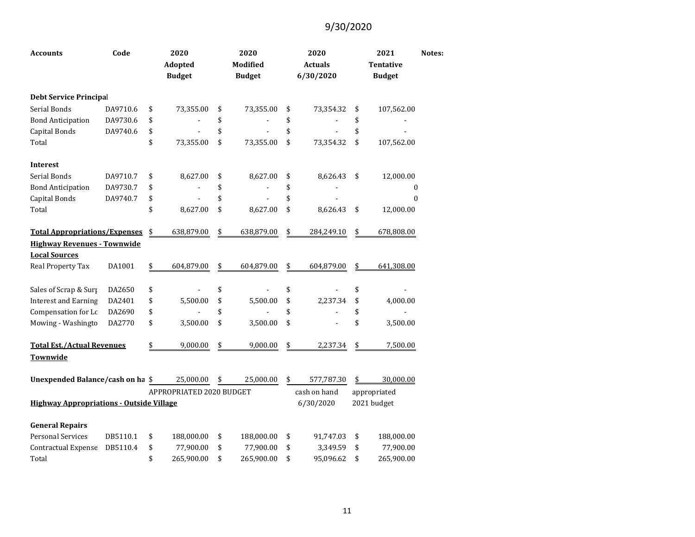| <b>Accounts</b>                                 | Code     | 2020<br><b>Adopted</b><br><b>Budget</b> | 2020<br><b>Modified</b><br><b>Budget</b> | 2020<br><b>Actuals</b><br>6/30/2020 | 2021<br><b>Tentative</b><br><b>Budget</b> | Notes: |
|-------------------------------------------------|----------|-----------------------------------------|------------------------------------------|-------------------------------------|-------------------------------------------|--------|
| <b>Debt Service Principal</b>                   |          |                                         |                                          |                                     |                                           |        |
| Serial Bonds                                    | DA9710.6 | \$<br>73,355.00                         | \$<br>73,355.00                          | \$<br>73,354.32                     | \$<br>107,562.00                          |        |
| <b>Bond Anticipation</b>                        | DA9730.6 | \$                                      | \$                                       | \$                                  | \$                                        |        |
| Capital Bonds                                   | DA9740.6 | \$                                      | \$                                       | \$                                  | \$                                        |        |
| Total                                           |          | \$<br>73,355.00                         | \$<br>73,355.00                          | \$<br>73,354.32                     | \$<br>107,562.00                          |        |
| <b>Interest</b>                                 |          |                                         |                                          |                                     |                                           |        |
| Serial Bonds                                    | DA9710.7 | \$<br>8,627.00                          | \$<br>8,627.00                           | \$<br>8,626.43                      | \$<br>12,000.00                           |        |
| <b>Bond Anticipation</b>                        | DA9730.7 | \$                                      | \$                                       | \$                                  | 0                                         |        |
| Capital Bonds                                   | DA9740.7 | \$                                      | \$                                       | \$                                  | $\boldsymbol{0}$                          |        |
| Total                                           |          | \$<br>8,627.00                          | \$<br>8,627.00                           | \$<br>8,626.43                      | \$<br>12,000.00                           |        |
| <b>Total Appropriations/Expenses</b>            |          | \$<br>638,879.00                        | \$<br>638,879.00                         | \$<br>284,249.10                    | \$<br>678,808.00                          |        |
| <b>Highway Revenues - Townwide</b>              |          |                                         |                                          |                                     |                                           |        |
| <b>Local Sources</b>                            |          |                                         |                                          |                                     |                                           |        |
| Real Property Tax                               | DA1001   | \$<br>604,879.00                        | \$<br>604,879.00                         | \$<br>604,879.00                    | \$<br>641,308.00                          |        |
| Sales of Scrap & Surp                           | DA2650   | \$                                      | \$                                       | \$                                  | \$                                        |        |
| <b>Interest and Earning</b>                     | DA2401   | \$<br>5,500.00                          | \$<br>5,500.00                           | \$<br>2,237.34                      | \$<br>4,000.00                            |        |
| Compensation for Lc                             | DA2690   | \$                                      | \$                                       | \$                                  | \$                                        |        |
| Mowing - Washingto                              | DA2770   | \$<br>3,500.00                          | \$<br>3,500.00                           | \$                                  | \$<br>3,500.00                            |        |
| <b>Total Est./Actual Revenues</b>               |          | \$<br>9,000.00                          | \$<br>9,000.00                           | \$<br>2,237.34                      | \$<br>7,500.00                            |        |
| Townwide                                        |          |                                         |                                          |                                     |                                           |        |
| Unexpended Balance/cash on ha \$                |          | 25,000.00                               | \$<br>25,000.00                          | \$<br>577,787.30                    | \$<br>30,000.00                           |        |
|                                                 |          | APPROPRIATED 2020 BUDGET                |                                          | cash on hand                        | appropriated                              |        |
| <b>Highway Appropriations - Outside Village</b> |          |                                         |                                          | 6/30/2020                           | 2021 budget                               |        |
| <b>General Repairs</b>                          |          |                                         |                                          |                                     |                                           |        |
| <b>Personal Services</b>                        | DB5110.1 | \$<br>188,000.00                        | \$<br>188,000.00                         | \$<br>91,747.03                     | \$<br>188,000.00                          |        |
| Contractual Expense                             | DB5110.4 | \$<br>77,900.00                         | \$<br>77,900.00                          | \$<br>3,349.59                      | \$<br>77,900.00                           |        |
| Total                                           |          | \$<br>265,900.00                        | \$<br>265,900.00                         | \$<br>95,096.62                     | \$<br>265,900.00                          |        |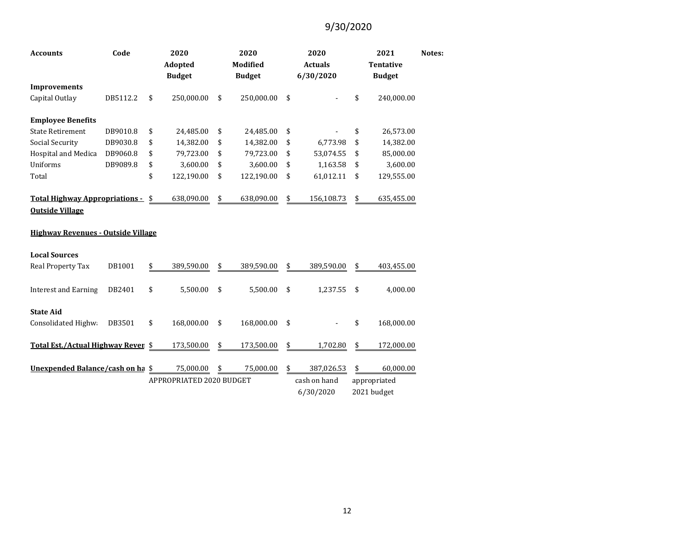| Code<br><b>Accounts</b>                                                |          |                          | 2020<br><b>Adopted</b><br><b>Budget</b> | 2020<br><b>Modified</b><br><b>Budget</b> |              |              | 2020<br><b>Actuals</b><br>6/30/2020 |             | Notes:     |  |
|------------------------------------------------------------------------|----------|--------------------------|-----------------------------------------|------------------------------------------|--------------|--------------|-------------------------------------|-------------|------------|--|
| <b>Improvements</b>                                                    |          |                          |                                         |                                          |              |              |                                     |             |            |  |
| Capital Outlay                                                         | DB5112.2 | \$                       | 250,000.00                              | \$                                       | 250,000.00   | \$           |                                     | \$          | 240,000.00 |  |
| <b>Employee Benefits</b>                                               |          |                          |                                         |                                          |              |              |                                     |             |            |  |
| <b>State Retirement</b>                                                | DB9010.8 | \$                       | 24,485.00                               | \$                                       | 24,485.00    | \$           |                                     | \$          | 26,573.00  |  |
| Social Security                                                        | DB9030.8 | \$                       | 14,382.00                               | \$                                       | 14,382.00    | \$           | 6,773.98                            | \$          | 14,382.00  |  |
| Hospital and Medica                                                    | DB9060.8 | \$                       | 79,723.00                               | \$                                       | 79,723.00    | \$           | 53,074.55                           | \$          | 85,000.00  |  |
| Uniforms                                                               | DB9089.8 | \$                       | 3,600.00                                | \$                                       | 3,600.00     | \$           | 1,163.58                            | \$          | 3,600.00   |  |
| Total                                                                  |          | \$                       | 122,190.00                              | \$                                       | 122,190.00   | \$           | 61,012.11                           | \$          | 129,555.00 |  |
| <u><b>Total Highway Appropriations -</b></u><br><b>Outside Village</b> |          |                          | 638,090.00                              | \$                                       | 638,090.00   | \$           | 156,108.73                          | \$          | 635,455.00 |  |
| <b>Highway Revenues - Outside Village</b>                              |          |                          |                                         |                                          |              |              |                                     |             |            |  |
| <b>Local Sources</b>                                                   |          |                          |                                         |                                          |              |              |                                     |             |            |  |
| <b>Real Property Tax</b>                                               | DB1001   | \$                       | 389,590.00                              | \$                                       | 389,590.00   | \$           | 389,590.00                          | \$          | 403,455.00 |  |
| <b>Interest and Earning</b>                                            | DB2401   | \$                       | 5,500.00                                | \$                                       | 5,500.00     | \$           | 1,237.55                            | \$          | 4,000.00   |  |
| <b>State Aid</b>                                                       |          |                          |                                         |                                          |              |              |                                     |             |            |  |
| Consolidated Highwa                                                    | DB3501   | \$                       | 168,000.00                              | \$                                       | 168,000.00   | \$           |                                     | \$          | 168,000.00 |  |
| Total Est./Actual Highway Reven \$                                     |          |                          | 173,500.00                              | \$                                       | 173,500.00   | \$           | 1,702.80                            | \$          | 172,000.00 |  |
| Unexpended Balance/cash on ha \$                                       |          |                          | 75,000.00                               | \$                                       | 75,000.00    | \$           | 387,026.53                          | \$          | 60,000.00  |  |
|                                                                        |          | APPROPRIATED 2020 BUDGET |                                         |                                          | cash on hand | appropriated |                                     |             |            |  |
|                                                                        |          |                          |                                         |                                          |              | 6/30/2020    |                                     | 2021 budget |            |  |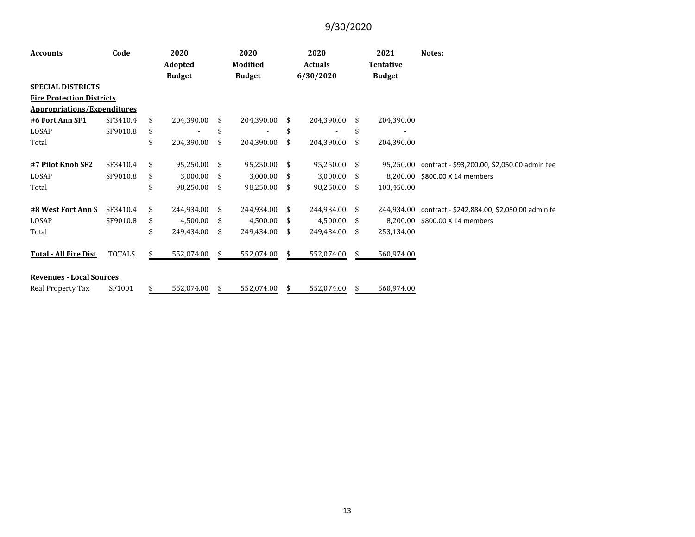| <b>Accounts</b>                    | Code          | 2020          |              |      | 2020          |    | 2020           |    | 2021          | Notes:                                       |  |  |
|------------------------------------|---------------|---------------|--------------|------|---------------|----|----------------|----|---------------|----------------------------------------------|--|--|
|                                    |               | Adopted       |              |      | Modified      |    | <b>Actuals</b> |    | Tentative     |                                              |  |  |
|                                    |               | <b>Budget</b> |              |      | <b>Budget</b> |    | 6/30/2020      |    | <b>Budget</b> |                                              |  |  |
| <b>SPECIAL DISTRICTS</b>           |               |               |              |      |               |    |                |    |               |                                              |  |  |
| <b>Fire Protection Districts</b>   |               |               |              |      |               |    |                |    |               |                                              |  |  |
| <b>Appropriations/Expenditures</b> |               |               |              |      |               |    |                |    |               |                                              |  |  |
| #6 Fort Ann SF1                    | SF3410.4      | \$            | 204,390.00   | \$   | 204,390.00    | \$ | 204,390.00     | \$ | 204,390.00    |                                              |  |  |
| LOSAP                              | SF9010.8      | \$            |              | \$   |               | \$ |                | \$ |               |                                              |  |  |
| Total                              |               | \$            | 204,390.00   | \$   | 204,390.00    | \$ | 204,390.00     | \$ | 204,390.00    |                                              |  |  |
| #7 Pilot Knob SF2                  | SF3410.4      | \$            | 95,250.00 \$ |      | 95,250.00     | \$ | 95,250.00 \$   |    | 95.250.00     | contract - \$93,200.00, \$2,050.00 admin fee |  |  |
|                                    |               |               |              |      |               |    |                |    |               |                                              |  |  |
| LOSAP                              | SF9010.8      | \$            | 3,000.00     | - \$ | 3,000.00      | -S | 3,000.00       | \$ | 8.200.00      | \$800.00 X 14 members                        |  |  |
| Total                              |               | \$            | 98,250.00    | -\$  | 98,250.00     | \$ | 98,250.00      | \$ | 103,450.00    |                                              |  |  |
| #8 West Fort Ann S                 | SF3410.4      | \$.           | 244,934.00   | -S   | 244,934.00    | \$ | 244,934.00     | \$ | 244.934.00    | contract - \$242,884.00, \$2,050.00 admin fe |  |  |
| LOSAP                              | SF9010.8      | \$            | 4,500.00     | - \$ | 4,500.00      | \$ | 4,500.00       | \$ | 8.200.00      | \$800.00 X 14 members                        |  |  |
| Total                              |               | \$            | 249,434.00   | \$   | 249,434.00    | \$ | 249,434.00     | \$ | 253,134.00    |                                              |  |  |
| <b>Total - All Fire Dist</b>       | <b>TOTALS</b> | \$            | 552,074.00   | \$.  | 552,074.00    | \$ | 552,074.00     | \$ | 560,974.00    |                                              |  |  |
|                                    |               |               |              |      |               |    |                |    |               |                                              |  |  |
| <b>Revenues - Local Sources</b>    |               |               |              |      |               |    |                |    |               |                                              |  |  |
| Real Property Tax                  | SF1001        | \$            | 552,074.00   | \$   | 552,074.00    | \$ | 552,074.00     | \$ | 560,974.00    |                                              |  |  |